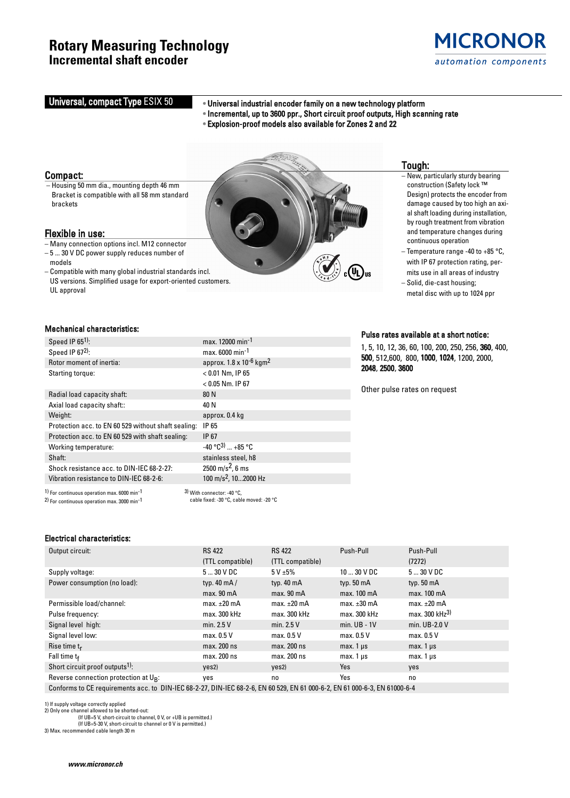## **Rotary Measuring Technology Incremental shaft encoder**



# Universal, compact Type ESIX 50 •• Universal industrial encoder family on a new technology platform

- Incremental, up to 3600 ppr., Short circuit proof outputs, High scanning rate
- Explosion-proof models also available for Zones 2 and 22

#### Compact:

– Housing 50 mm dia., mounting depth 46 mm Bracket is compatible with all 58 mm standard brackets

#### Flexible in use:

- Many connection options incl. M12 connector – 5 ... 30 V DC power supply reduces number of
- models
- Compatible with many global industrial standards incl. US versions. Simplified usage for export-oriented customers. UL approval

#### Mechanical characteristics:

| Speed IP $651$ :                                                                                                                         | max. 12000 min <sup>-1</sup>                                             |
|------------------------------------------------------------------------------------------------------------------------------------------|--------------------------------------------------------------------------|
| Speed IP 672):                                                                                                                           | max. 6000 min <sup>-1</sup>                                              |
| Rotor moment of inertia:                                                                                                                 | approx. $1.8 \times 10^{-6}$ kgm <sup>2</sup>                            |
| Starting torque:                                                                                                                         | $< 0.01$ Nm, IP 65                                                       |
|                                                                                                                                          | $< 0.05$ Nm. IP 67                                                       |
| Radial load capacity shaft:                                                                                                              | 80 N                                                                     |
| Axial load capacity shaft::                                                                                                              | 40 N                                                                     |
| Weight:                                                                                                                                  | approx. 0.4 kg                                                           |
| Protection acc. to EN 60 529 without shaft sealing:                                                                                      | IP 65                                                                    |
| Protection acc. to EN 60 529 with shaft sealing:                                                                                         | IP 67                                                                    |
| Working temperature:                                                                                                                     | $-40°C^3$ $+85°C$                                                        |
| Shaft:                                                                                                                                   | stainless steel, h8                                                      |
| Shock resistance acc. to DIN-IEC 68-2-27:                                                                                                | 2500 m/s <sup>2</sup> , 6 ms                                             |
| Vibration resistance to DIN-IEC 68-2-6:                                                                                                  | 100 m/s <sup>2</sup> , 102000 Hz                                         |
| <sup>1)</sup> For continuous operation max, 6000 min <sup>-1</sup><br>$2)$ For continuous operation max $3000 \text{ min}$ <sup>-1</sup> | $3)$ With connector: -40 °C.<br>cable fixed: -30 °C, cable moved: -20 °C |

Tough:

- New, particularly sturdy bearing construction (Safety lock ™ Design) protects the encoder from damage caused by too high an axial shaft loading during installation, by rough treatment from vibration and temperature changes during continuous operation
- Temperature range -40 to +85 °C, with IP 67 protection rating, permits use in all areas of industry
- Solid, die-cast housing; metal disc with up to 1024 ppr

#### Pulse rates available at a short notice:

1, 5, 10, 12, 36, 60, 100, 200, 250, 256, 360, 400, 500, 512,600, 800, 1000, 1024, 1200, 2000, 2048, 2500, 3600

Other pulse rates on request

#### Electrical characteristics:

| Output circuit:                             | <b>RS 422</b>        | <b>RS 422</b>    | Push-Pull            | Push-Pull                  |
|---------------------------------------------|----------------------|------------------|----------------------|----------------------------|
|                                             | (TTL compatible)     | (TTL compatible) |                      | (7272)                     |
| Supply voltage:                             | $530$ V DC           | 5 V ± 5%         | $1030$ V DC          | $530$ V DC                 |
| Power consumption (no load):                | typ. $40 \text{ mA}$ | typ. 40 mA       | typ. $50 \text{ mA}$ | typ. $50 \text{ mA}$       |
|                                             | max. 90 mA           | max. 90 mA       | max. 100 mA          | max. 100 mA                |
| Permissible load/channel:                   | max. $\pm 20$ mA     | max. $\pm 20$ mA | max. $\pm 30$ mA     | max. $\pm 20$ mA           |
| Pulse frequency:                            | max. 300 kHz         | max. 300 kHz     | max. 300 kHz         | max. 300 kHz <sup>3)</sup> |
| Signal level high:                          | min. $2.5V$          | min. $2.5V$      | $min$ . UB - 1V      | min. UB-2.0 V              |
| Signal level low:                           | max. $0.5V$          | max. 0.5 V       | max. $0.5V$          | max. 0.5 V                 |
| Rise time $t_r$                             | max. 200 ns          | max. 200 ns      | max. $1 \mu s$       | max. $1 \mu s$             |
| Fall time $t_f$                             | max. 200 ns          | max. 200 ns      | $max.1 \,\mu s$      | $max. 1 \mu s$             |
| Short circuit proof outputs <sup>1)</sup> : | yes2)                | yes2)            | Yes                  | yes                        |
| Reverse connection protection at $U_{R}$ :  | yes                  | no               | Yes                  | no                         |
|                                             |                      |                  |                      |                            |

Conforms to CE requirements acc. to DIN-IEC 68-2-27, DIN-IEC 68-2-6, EN 60 529, EN 61 000-6-2, EN 61 000-6-3, EN 61000-6-4

1) If supply voltage correctly applied

2) Only one channel allowed to be shorted-out:

(If UB=5 V, short-circuit to channel, 0 V, or +UB is permitted.)

(If UB=5-30 V, short-circuit to channel or 0 V is permitted.) 3) Max. recommended cable length 30 m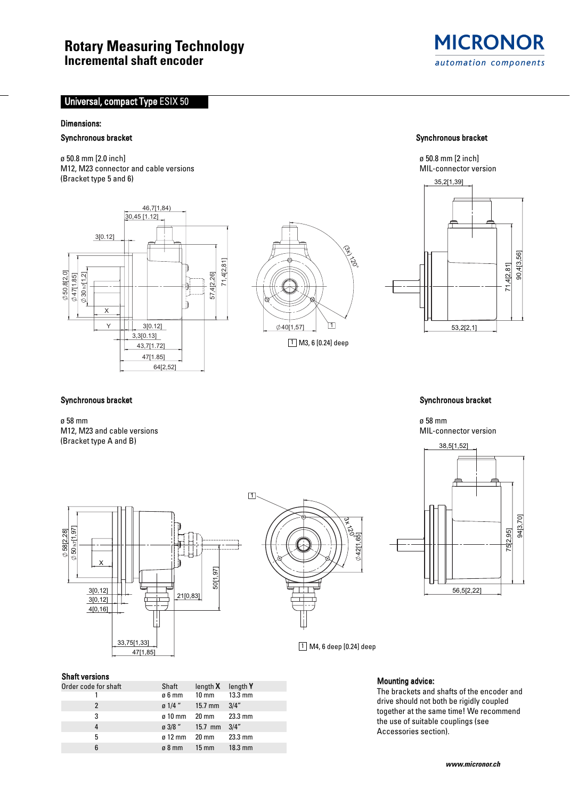## **Rotary Measuring Technology Incremental shaft encoder**



### Universal, compact Type ESIX 50

#### Dimensions:

#### Synchronous bracket Synchronous bracket Synchronous bracket Synchronous bracket Synchronous bracket Synchronous bracket

ø 50.8 mm [2.0 inch] ø 50.8 mm [2 inch] M12, M23 connector and cable versions (Bracket type 5 and 6)







#### Synchronous bracket **Synchronous bracket** Synchronous bracket Synchronous bracket Synchronous bracket Synchronous bracket Synchronous bracket Synchronous bracket Synchronous bracket Synchronous bracket Synchronous bracket

ø 58 mm  $\,$ ø 58 mm  $\,$ M12, M23 and cable versions and cable version and capacity of the state of the state of the state of the state of the state of the state of the state of the state of the state of the state of the state of the state of the (Bracket type A and B)





 $\boxed{1}$  M4, 6 deep  $\boxed{0.24}$  deep

42[1,65]

پ  $\vec{e}$ 

#### Shaft versions

3 [0,12] 3[0,12]

X

4[0,16]

h7 [1,97] [2,28] 58

50

| Order code for shaft | Shaft                | length $X$ length $Y$               |                   |
|----------------------|----------------------|-------------------------------------|-------------------|
|                      | ø6 mm                | $10 \text{ mm}$ 13.3 mm             |                   |
|                      |                      | $\sigma$ 1/4 " 15.7 mm 3/4"         |                   |
| 3                    |                      | ø 10 mm 20 mm 23.3 mm               |                   |
|                      |                      | $\alpha$ 3/8 $\degree$ 15.7 mm 3/4" |                   |
| 5                    | $\sigma$ 12 mm 20 mm |                                     | $23.3 \text{ mm}$ |
| 6                    |                      | ø8 mm 15 mm                         | $18.3$ mm         |

50[1,97]

 $\Box$ 

2100.831

33,75[1,33]

47[1,85]

#### Mounting advice:

The brackets and shafts of the encoder and drive should not both be rigidly coupled together at the same time! We recommend the use of suitable couplings (see Accessories section).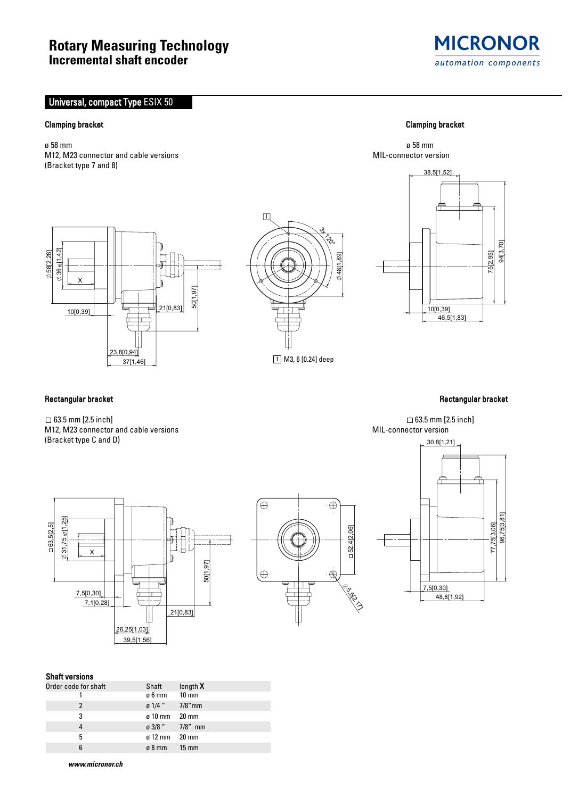# **Rotary Measuring Technology Incremental shaft encoder**

### Universal, compact Type ESIX 50

### Clamping bracket Clamping bracket

ø 58 mm ø 58 mm M12, M23 connector and cable versions MIL-connector version MIL-connector version (Bracket type 7 and 8)

# **MICRONOR** automation components

38,5[1,52]





10[0,39] 75 2,95 46,5[1,83] 94[3,70]

#### Rectangular bracket **Rectangular bracket** Rectangular bracket Rectangular bracket Rectangular bracket **Rectangular bracket**

 $\Box$  63.5 mm [2.5 inch]  $\Box$  63.5 mm [2.5 inch] M12, M23 connector and cable versions MIL-connector version (Bracket type C and D)







#### Shaft versions

| Order code for shaft | Shaft                  | length $X$ |
|----------------------|------------------------|------------|
|                      | ø6mm 10mm              |            |
|                      | $\sigma$ 1/4 " 7/8" mm |            |
| 3                    | $\sigma$ 10 mm 20 mm   |            |
| 4                    | $\alpha$ 3/8 " 7/8" mm |            |
| 5                    | $\sigma$ 12 mm 20 mm   |            |
| 6                    | $\sigma$ 8 mm 15 mm    |            |

**www.micronor.ch**